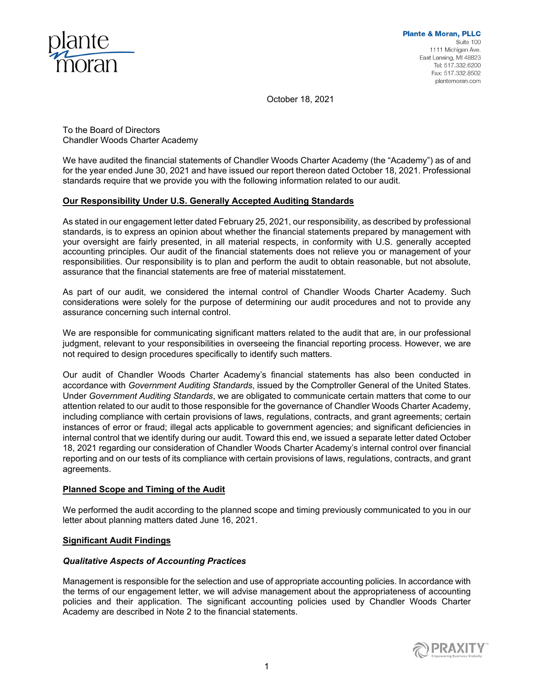

October 18, 2021

To the Board of Directors Chandler Woods Charter Academy

We have audited the financial statements of Chandler Woods Charter Academy (the "Academy") as of and for the year ended June 30, 2021 and have issued our report thereon dated October 18, 2021. Professional standards require that we provide you with the following information related to our audit.

# **Our Responsibility Under U.S. Generally Accepted Auditing Standards**

As stated in our engagement letter dated February 25, 2021, our responsibility, as described by professional standards, is to express an opinion about whether the financial statements prepared by management with your oversight are fairly presented, in all material respects, in conformity with U.S. generally accepted accounting principles. Our audit of the financial statements does not relieve you or management of your responsibilities. Our responsibility is to plan and perform the audit to obtain reasonable, but not absolute, assurance that the financial statements are free of material misstatement.

As part of our audit, we considered the internal control of Chandler Woods Charter Academy. Such considerations were solely for the purpose of determining our audit procedures and not to provide any assurance concerning such internal control.

We are responsible for communicating significant matters related to the audit that are, in our professional judgment, relevant to your responsibilities in overseeing the financial reporting process. However, we are not required to design procedures specifically to identify such matters.

Our audit of Chandler Woods Charter Academy's financial statements has also been conducted in accordance with *Government Auditing Standards*, issued by the Comptroller General of the United States. Under *Government Auditing Standards*, we are obligated to communicate certain matters that come to our attention related to our audit to those responsible for the governance of Chandler Woods Charter Academy, including compliance with certain provisions of laws, regulations, contracts, and grant agreements; certain instances of error or fraud; illegal acts applicable to government agencies; and significant deficiencies in internal control that we identify during our audit. Toward this end, we issued a separate letter dated October 18, 2021 regarding our consideration of Chandler Woods Charter Academy's internal control over financial reporting and on our tests of its compliance with certain provisions of laws, regulations, contracts, and grant agreements.

## **Planned Scope and Timing of the Audit**

We performed the audit according to the planned scope and timing previously communicated to you in our letter about planning matters dated June 16, 2021.

## **Significant Audit Findings**

# *Qualitative Aspects of Accounting Practices*

Management is responsible for the selection and use of appropriate accounting policies. In accordance with the terms of our engagement letter, we will advise management about the appropriateness of accounting policies and their application. The significant accounting policies used by Chandler Woods Charter Academy are described in Note 2 to the financial statements.

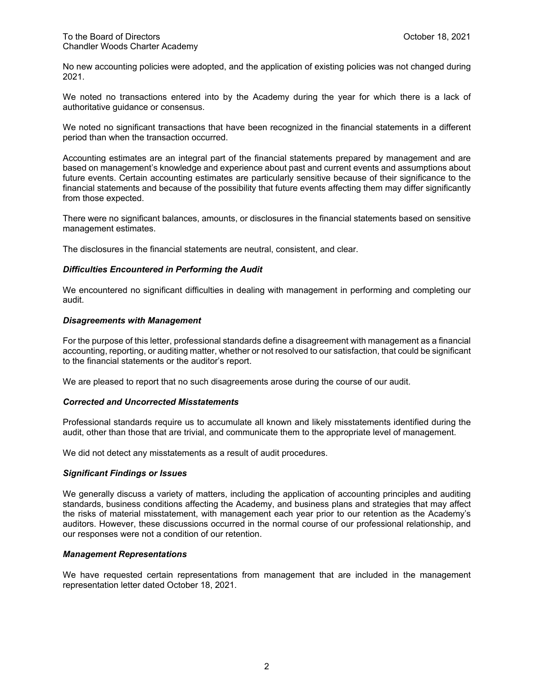No new accounting policies were adopted, and the application of existing policies was not changed during 2021.

We noted no transactions entered into by the Academy during the year for which there is a lack of authoritative guidance or consensus.

We noted no significant transactions that have been recognized in the financial statements in a different period than when the transaction occurred.

Accounting estimates are an integral part of the financial statements prepared by management and are based on management's knowledge and experience about past and current events and assumptions about future events. Certain accounting estimates are particularly sensitive because of their significance to the financial statements and because of the possibility that future events affecting them may differ significantly from those expected.

There were no significant balances, amounts, or disclosures in the financial statements based on sensitive management estimates.

The disclosures in the financial statements are neutral, consistent, and clear.

## *Difficulties Encountered in Performing the Audit*

We encountered no significant difficulties in dealing with management in performing and completing our audit.

### *Disagreements with Management*

For the purpose of this letter, professional standards define a disagreement with management as a financial accounting, reporting, or auditing matter, whether or not resolved to our satisfaction, that could be significant to the financial statements or the auditor's report.

We are pleased to report that no such disagreements arose during the course of our audit.

## *Corrected and Uncorrected Misstatements*

Professional standards require us to accumulate all known and likely misstatements identified during the audit, other than those that are trivial, and communicate them to the appropriate level of management.

We did not detect any misstatements as a result of audit procedures.

### *Significant Findings or Issues*

We generally discuss a variety of matters, including the application of accounting principles and auditing standards, business conditions affecting the Academy, and business plans and strategies that may affect the risks of material misstatement, with management each year prior to our retention as the Academy's auditors. However, these discussions occurred in the normal course of our professional relationship, and our responses were not a condition of our retention.

## *Management Representations*

We have requested certain representations from management that are included in the management representation letter dated October 18, 2021.